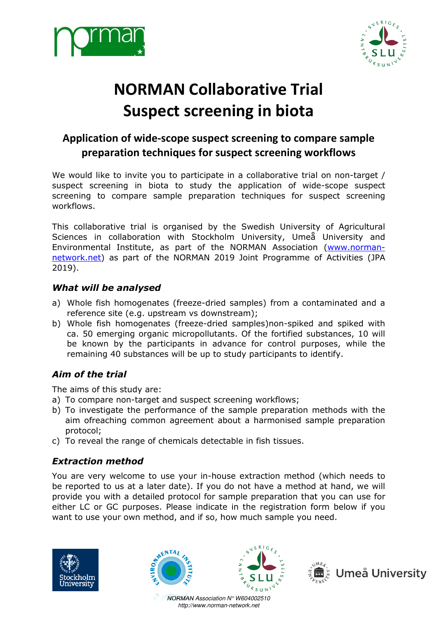



# **NORMAN Collaborative Trial Suspect screening in biota uspect**

# Application of wide-scope suspect screening to compare sample **preparation techniques for suspect screening workflows**

We would like to invite you to participate in a collaborative trial on non-target / suspect screening in biota to study the application of wide-scope suspect screening to compare sample preparation techniques for suspect screening workflows.

This collaborative trial is organised by the Swedish University of Agricultural Sciences in collaboration with Stockholm University, Umeå University and Environmental Institute, as part of the NORMAN Association (www.normannetwork.net) as part of the NORMAN 2019 Joint Programme of Activities (JPA 2019).

#### *What will be analysed*

- a) Whole fish homogenates (freeze-dried samples) from a contaminated and a reference site (e.g. upstream vs downstream);
- b) Whole fish homogenates (freeze-dried samples)non-spiked and spiked with ca. 50 emerging organic micropollutants. Of the fortified substances, 10 will be known by the participants in advance for control purposes, while the remaining 40 substances will be up to study participants to identify.

#### *Aim of the trial*

The aims of this study are:

- a) To compare non-target and suspect screening workflows;
- b) To investigate the performance of the sample preparation methods with the aim ofreaching common agreement about a harmonised sample preparation protocol;
- c) To reveal the range of chemicals detectable in fish tissues.

#### *Extraction method*

You are very welcome to use your in-house extraction method (which needs to be reported to us at a later date). If you do not have a method at hand, we will provide you with a detailed protocol for sample preparation that you can use for either LC or GC purposes. Please indicate in the registration form want to use your own method, and if so, how much sample you need. ried samples)non-spiked and spiked with<br>tants. Of the fortified substances, 10 will<br>advance for control purposes, while the<br>to study participants to identify.<br>Screening workflows;<br>the sample preparation methods with the<br>t